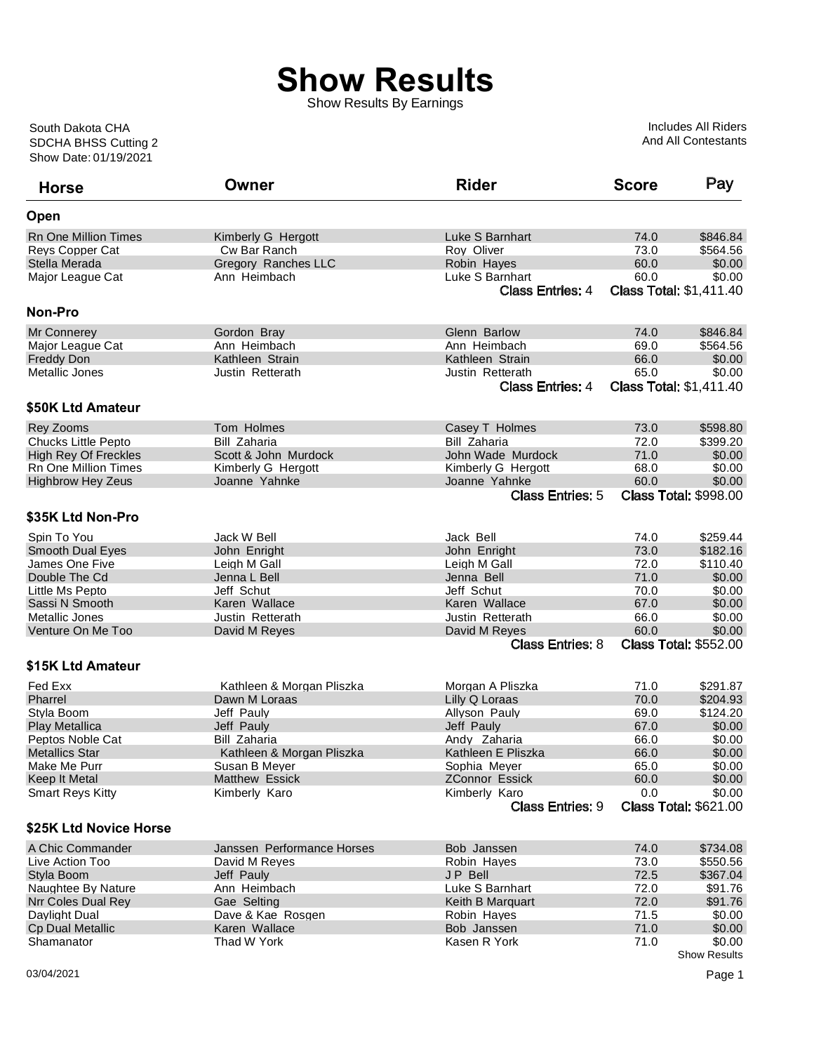## **Show Results**

Show Results By Earnings

Show Date: 01/19/2021 SDCHA BHSS Cutting 2 South Dakota CHA

Includes All Riders And All Contestants

| <b>Horse</b>                | Owner                      | <b>Rider</b>                             | <b>Score</b> | Pay                                    |
|-----------------------------|----------------------------|------------------------------------------|--------------|----------------------------------------|
| Open                        |                            |                                          |              |                                        |
| <b>Rn One Million Times</b> | Kimberly G Hergott         | Luke S Barnhart                          | 74.0         | \$846.84                               |
| Reys Copper Cat             | Cw Bar Ranch               | Roy Oliver                               | 73.0         | \$564.56                               |
| Stella Merada               | Gregory Ranches LLC        | Robin Hayes                              | 60.0         | \$0.00                                 |
| Major League Cat            | Ann Heimbach               | Luke S Barnhart                          | 60.0         | \$0.00                                 |
|                             |                            | <b>Class Entries: 4</b>                  |              | <b>Class Total: \$1,411.40</b>         |
| <b>Non-Pro</b>              |                            |                                          |              |                                        |
| Mr Connerey                 | Gordon Bray                | Glenn Barlow                             | 74.0         | \$846.84                               |
| Major League Cat            | Ann Heimbach               | Ann Heimbach                             | 69.0         | \$564.56                               |
| <b>Freddy Don</b>           | Kathleen Strain            | Kathleen Strain                          | 66.0         | \$0.00                                 |
| Metallic Jones              | Justin Retterath           | Justin Retterath                         | 65.0         | \$0.00                                 |
|                             |                            | <b>Class Entries: 4</b>                  |              | <b>Class Total: \$1,411.40</b>         |
| \$50K Ltd Amateur           |                            |                                          |              |                                        |
| <b>Rey Zooms</b>            | Tom Holmes                 | Casey T Holmes                           | 73.0         | \$598.80                               |
| <b>Chucks Little Pepto</b>  | <b>Bill Zaharia</b>        | <b>Bill Zaharia</b>                      | 72.0         | \$399.20                               |
| <b>High Rey Of Freckles</b> | Scott & John Murdock       | John Wade Murdock                        | 71.0         | \$0.00                                 |
| Rn One Million Times        | Kimberly G Hergott         | Kimberly G Hergott                       | 68.0         | \$0.00                                 |
| <b>Highbrow Hey Zeus</b>    | Joanne Yahnke              | Joanne Yahnke                            | 60.0         | \$0.00                                 |
|                             |                            | <b>Class Entries: 5</b>                  |              | <b>Class Total: \$998.00</b>           |
| \$35K Ltd Non-Pro           |                            |                                          |              |                                        |
| Spin To You                 | Jack W Bell                | Jack Bell                                | 74.0         | \$259.44                               |
| Smooth Dual Eyes            | John Enright               | John Enright                             | 73.0         | \$182.16                               |
| James One Five              | Leigh M Gall               | Leigh M Gall                             | 72.0         | \$110.40                               |
| Double The Cd               | Jenna L Bell               | Jenna Bell                               | 71.0         | \$0.00                                 |
| Little Ms Pepto             | Jeff Schut                 | Jeff Schut                               | 70.0         | \$0.00                                 |
| Sassi N Smooth              | Karen Wallace              | Karen Wallace                            | 67.0         | \$0.00                                 |
| Metallic Jones              | Justin Retterath           | Justin Retterath                         | 66.0         | \$0.00                                 |
| Venture On Me Too           | David M Reyes              | David M Reyes<br><b>Class Entries: 8</b> | 60.0         | \$0.00<br><b>Class Total: \$552.00</b> |
| \$15K Ltd Amateur           |                            |                                          |              |                                        |
| Fed Exx                     | Kathleen & Morgan Pliszka  | Morgan A Pliszka                         | 71.0         | \$291.87                               |
| Pharrel                     | Dawn M Loraas              | Lilly Q Loraas                           | 70.0         | \$204.93                               |
| Styla Boom                  | Jeff Pauly                 | Allyson Pauly                            | 69.0         | \$124.20                               |
| <b>Play Metallica</b>       | Jeff Pauly                 | Jeff Pauly                               | 67.0         | \$0.00                                 |
| Peptos Noble Cat            | Bill Zaharia               | Andy Zaharia                             | 66.0         | \$0.00                                 |
| <b>Metallics Star</b>       | Kathleen & Morgan Pliszka  | Kathleen E Pliszka                       | 66.0         | \$0.00                                 |
| Make Me Purr                | Susan B Meyer              | Sophia Meyer                             | 65.0         | \$0.00                                 |
| Keep It Metal               | <b>Matthew Essick</b>      | <b>ZConnor Essick</b>                    | 60.0         | \$0.00                                 |
| <b>Smart Reys Kitty</b>     | Kimberly Karo              | Kimberly Karo                            | 0.0          | \$0.00                                 |
|                             |                            | <b>Class Entries: 9</b>                  |              | <b>Class Total: \$621.00</b>           |
| \$25K Ltd Novice Horse      |                            |                                          |              |                                        |
| A Chic Commander            | Janssen Performance Horses | Bob Janssen                              | 74.0         | \$734.08                               |
| Live Action Too             | David M Reves              | Robin Hayes                              | 73.0         | \$550.56                               |
| Styla Boom                  | Jeff Pauly                 | JP Bell                                  | 72.5         | \$367.04                               |
| Naughtee By Nature          | Ann Heimbach               | Luke S Barnhart                          | 72.0         | \$91.76                                |
| Nrr Coles Dual Rey          | Gae Selting                | Keith B Marquart                         | 72.0         | \$91.76                                |
| Daylight Dual               | Dave & Kae Rosgen          | Robin Hayes                              | 71.5         | \$0.00                                 |
| <b>Cp Dual Metallic</b>     | Karen Wallace              | Bob Janssen                              | 71.0         | \$0.00                                 |
| Shamanator                  | Thad W York                | Kasen R York                             | 71.0         | \$0.00                                 |
|                             |                            |                                          |              | <b>Show Results</b>                    |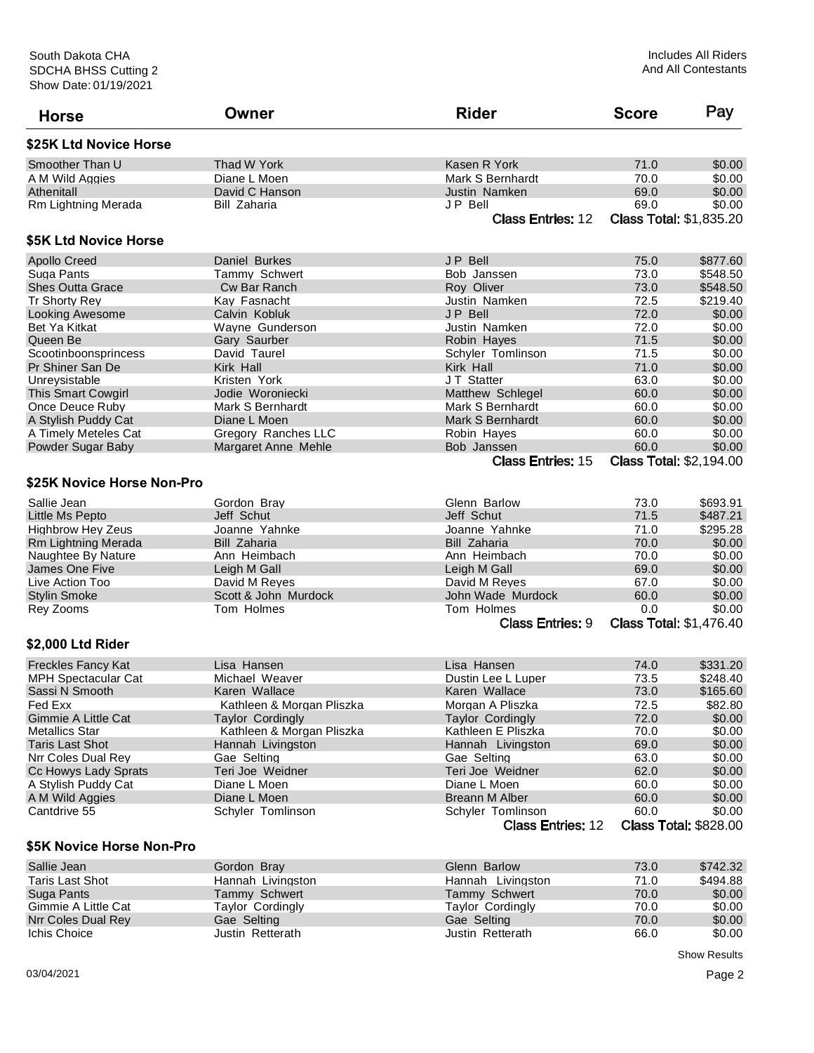| <b>Horse</b>               | Owner                     | <b>Rider</b>             | <b>Score</b> | Pay                                    |
|----------------------------|---------------------------|--------------------------|--------------|----------------------------------------|
| \$25K Ltd Novice Horse     |                           |                          |              |                                        |
| Smoother Than U            | Thad W York               | Kasen R York             | 71.0         | \$0.00                                 |
| A M Wild Aggies            | Diane L Moen              | Mark S Bernhardt         | 70.0         | \$0.00                                 |
| Athenitall                 | David C Hanson            | Justin Namken            | 69.0         | \$0.00                                 |
| Rm Lightning Merada        | <b>Bill Zaharia</b>       | JP Bell                  | 69.0         | \$0.00                                 |
|                            |                           | <b>Class Entries: 12</b> |              | <b>Class Total: \$1,835.20</b>         |
| \$5K Ltd Novice Horse      |                           |                          |              |                                        |
|                            |                           |                          |              |                                        |
| <b>Apollo Creed</b>        | Daniel Burkes             | JP Bell                  | 75.0         | \$877.60                               |
| Suga Pants                 | Tammy Schwert             | Bob Janssen              | 73.0         | \$548.50                               |
| <b>Shes Outta Grace</b>    | Cw Bar Ranch              | Roy Oliver               | 73.0         | \$548.50                               |
| Tr Shorty Rey              | Kay Fasnacht              | Justin Namken            | 72.5         | \$219.40                               |
| <b>Looking Awesome</b>     | Calvin Kobluk             | JP Bell                  | 72.0         | \$0.00                                 |
| <b>Bet Ya Kitkat</b>       | Wayne Gunderson           | Justin Namken            | 72.0         | \$0.00                                 |
| Queen Be                   | Gary Saurber              | Robin Hayes              | 71.5         | \$0.00                                 |
| Scootinboonsprincess       | David Taurel              | Schyler Tomlinson        | 71.5         | \$0.00                                 |
| Pr Shiner San De           | Kirk Hall                 | Kirk Hall                | 71.0         | \$0.00                                 |
| Unreysistable              | Kristen York              | JT Statter               | 63.0         | \$0.00                                 |
| <b>This Smart Cowgirl</b>  | Jodie Woroniecki          | Matthew Schlegel         | 60.0         | \$0.00                                 |
| Once Deuce Ruby            | Mark S Bernhardt          | Mark S Bernhardt         | 60.0         | \$0.00                                 |
| A Stylish Puddy Cat        | Diane L Moen              | Mark S Bernhardt         | 60.0         | \$0.00                                 |
| A Timely Meteles Cat       | Gregory Ranches LLC       | Robin Hayes              | 60.0         | \$0.00                                 |
| Powder Sugar Baby          | Margaret Anne Mehle       | Bob Janssen              | 60.0         | \$0.00                                 |
|                            |                           | <b>Class Entries: 15</b> |              | <b>Class Total: \$2,194.00</b>         |
| \$25K Novice Horse Non-Pro |                           |                          |              |                                        |
|                            |                           |                          |              |                                        |
| Sallie Jean                | Gordon Bray               | Glenn Barlow             | 73.0         | \$693.91                               |
| Little Ms Pepto            | Jeff Schut                | Jeff Schut               | 71.5         | \$487.21                               |
| <b>Highbrow Hey Zeus</b>   | Joanne Yahnke             | Joanne Yahnke            | 71.0         | \$295.28                               |
| Rm Lightning Merada        | <b>Bill Zaharia</b>       | <b>Bill Zaharia</b>      | 70.0         | \$0.00                                 |
| Naughtee By Nature         | Ann Heimbach              | Ann Heimbach             | 70.0         | \$0.00                                 |
| James One Five             | Leigh M Gall              | Leigh M Gall             | 69.0         | \$0.00                                 |
| Live Action Too            | David M Reyes             | David M Reyes            | 67.0         | \$0.00                                 |
| <b>Stylin Smoke</b>        | Scott & John Murdock      | John Wade Murdock        | 60.0         | \$0.00                                 |
| Rey Zooms                  | Tom Holmes                | Tom Holmes               | 0.0          | \$0.00                                 |
|                            |                           | <b>Class Entries: 9</b>  |              | <b>Class Total: \$1,476.40</b>         |
| \$2,000 Ltd Rider          |                           |                          |              |                                        |
| <b>Freckles Fancy Kat</b>  | Lisa Hansen               | Lisa Hansen              | 74.0         | \$331.20                               |
| <b>MPH Spectacular Cat</b> | Michael Weaver            | Dustin Lee L Luper       | 73.5         | \$248.40                               |
| Sassi N Smooth             | Karen Wallace             | Karen Wallace            | 73.0         | \$165.60                               |
| Fed Exx                    | Kathleen & Morgan Pliszka | Morgan A Pliszka         | 72.5         | \$82.80                                |
| <b>Gimmie A Little Cat</b> | <b>Taylor Cordingly</b>   | <b>Taylor Cordingly</b>  | 72.0         | \$0.00                                 |
| <b>Metallics Star</b>      | Kathleen & Morgan Pliszka | Kathleen E Pliszka       | 70.0         | \$0.00                                 |
| <b>Taris Last Shot</b>     | Hannah Livingston         | Hannah Livingston        | 69.0         | \$0.00                                 |
| Nrr Coles Dual Rev         |                           |                          |              |                                        |
|                            | Gae Selting               | Gae Selting              | 63.0         | \$0.00                                 |
| Cc Howys Lady Sprats       | Teri Joe Weidner          | Teri Joe Weidner         | 62.0         | \$0.00                                 |
| A Stylish Puddy Cat        | Diane L Moen              | Diane L Moen             | 60.0         | \$0.00                                 |
| A M Wild Aggies            | Diane L Moen              | <b>Breann M Alber</b>    | 60.0         | \$0.00                                 |
| Cantdrive 55               | Schyler Tomlinson         | Schyler Tomlinson        | 60.0         | \$0.00<br><b>Class Total: \$828.00</b> |
| \$5K Novice Horse Non-Pro  |                           | <b>Class Entries: 12</b> |              |                                        |
|                            |                           |                          |              |                                        |
| Sallie Jean                | Gordon Bray               | Glenn Barlow             | 73.0         | \$742.32                               |
| <b>Taris Last Shot</b>     | Hannah Livingston         | Hannah Livingston        | 71.0         | \$494.88                               |
| Suga Pants                 | Tammy Schwert             | <b>Tammy Schwert</b>     | 70.0         | \$0.00                                 |
| Gimmie A Little Cat        | <b>Taylor Cordingly</b>   | <b>Taylor Cordingly</b>  | 70.0         | \$0.00                                 |
| Nrr Coles Dual Rey         | Gae Selting               | Gae Selting              | 70.0         | \$0.00                                 |

Ichis Choice Justin Retterath Justin Retterath 66.0 \$0.00